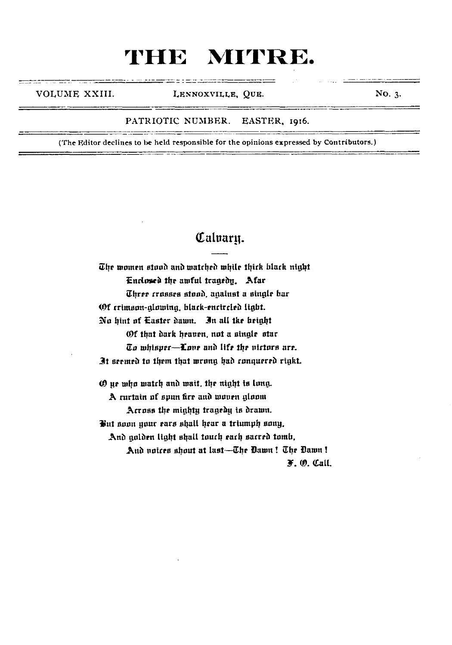VOLUME XXIII. LENNOXVILLE, QUE. NO. 3.

#### PATRIOTIC NUMBER. EASTER, 1916.

**(The Editor declines to be held responsible for the opinions expressed by Contributors.)**

### Calvaru.

The women stood and watched while thick black night Enclosed the awful tragedy. Afar Three crosses stood, against a single bar Of crimson-glowing black-encircled light. No hint of Easter dawn. In all tke height (Of that dark heaven. not a single star  $\bar{u}$ o whisper $-{\bf I}$ one and life the nirtors are. It seemed to them that wrang had conquered rigkt. O ye who match and wait. the night is long. A curtain of spun fire and woven gloom

Across the mighty tragedy is drawn.

But soon your ears shall hear a triumph sony.

Anb golden light shall touch each sacred tomb,

And voices shout at last—The Dawn ! The Dawn ! F .O. Call.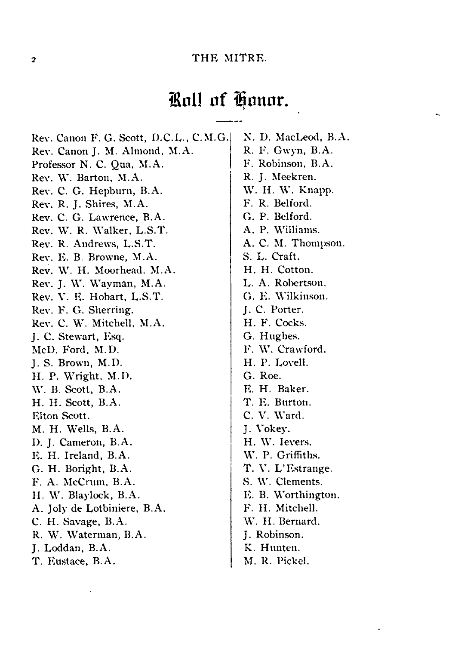### Roll of Honor.

Rev. Canon F. G. Scott, D.C.L., C.M.G. Rev. Canon J. M. Almond, M.A. Professor N. C. Qua, M.A. Rev. W. Barton, M.A. Rev. C. G. Hepburn, B.A. Rev. R. J. Shires, M.A. Rev. C. G. Lawrence, B.A. Rev. W. R. Walker, L.S.T. Rev. R. Andrews, L.S.T. Rev. K. B. Browne, M.A. Rev. W. H. Moorhead. M.A. Rev. J. W. Wayman, M.A. Rev. V. K. Hobart, L.S.T. Rev. F. G. Sherring. Rev. C. W. Mitchell, M.A. J. C. Stewart, Esq. McD. Ford, M.D. J. S. Brown, M.D. H. P. Wright, M.D. W. B. Scott, B.A. H. H. Scott, B.A. Elton Scott. M. H. Wells, B.A. **1**). J. Cameron, B.A. PL H. Ireland, B.A. G. H. Boright, B.A. F. A. McCrum, B.A. H. W. Blaylock, B.A. A. Joly de Lotbiniere, B.A. C. H. Savage, B.A. R. W. Waterman, B.A. J. Loddan, B.A. T. Eustace, B.A.

N. D. MacLeod, B.A. R. F. Gwyn, B.A. F. Robinson, B.A. R. J. Meekren. W. H. W. Knapp. F. R. Belford. G. P. Belford. A. P. Williams. A. C. M. Thompson. S. L. Craft. H. H. Cotton. L A. Robertson. G. E Wilkinson. J. C. Porter. H. F. Cocks. G. Hughes. F. W. Crawford. H. P. Lovell. G. Roe. E. H. Baker. T. E. Burton. C. V. Ward. J. Vokey. H. W. Ievers. W. P. Griffiths. T. V. L'Estrange. S. W. Clements. E. B. Worthington. F. II. Mitchell. W. H. Bernard. J. Robinson. K. Hunten. M. R. Pickel.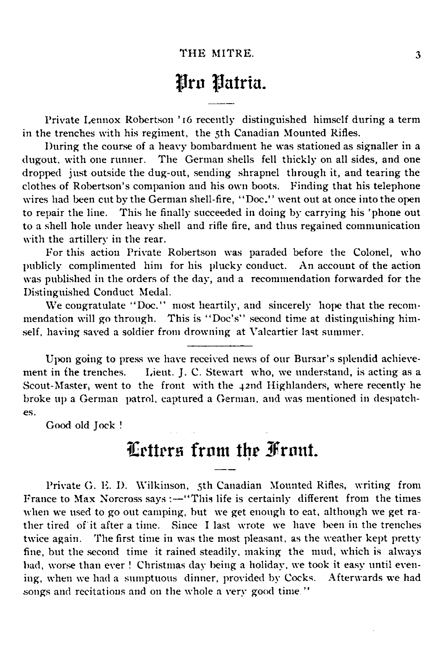### Pro Patria.

Private Lennox Robertson ' 16 recently distinguished himself during a term in the trenches with his regiment, the 5th Canadian Mounted Rifles.

During the course of a heavy bombardment he was stationed as signaller in a dugout, with one runner. The German shells fell thickly on all sides, and one dropped just outside the dug-out, sending shrapnel through it, and tearing the clothes of Robertson's companion and his own boots. Finding that his telephone wires had been cut by the German shell-fire, " Doc.' ' went out at once into the open to repair the line. This he finally succeeded in doing by carrying his 'phone out to a shell hole under heavy shell and rifle fire, and thus regained communication with the artillery in the rear.

For this action Private Robertson was paraded before the Colonel, who publicly complimented him for his plucky conduct. An account of the action was published in the orders of the day, and a recommendation forwarded for the Distinguished Conduct Medal.

We congratulate "Doc." most heartily, and sincerely hope that the recommendation will go through. This is " Doc's" second time at distinguishing himself, having saved a soldier from drowning at Valcartier last summer.

Upon going to press we have received news of our Bursar's splendid achievement in the trenches. Lieut. J. C. Stewart who, we understand, is acting as a Scout-Master, went to the front with the 42nd Highlanders, where recently he broke up a German patrol, captured a German, and was mentioned in despatch es.

Good old Jock !

### Letters from the Front.

Private G. E. D. Wilkinson, 5th Canadian Mounted Rifles, writing from France to Max Norcross says :-- "This life is certainly different from the times when we used to go out camping, but we get enough to eat, although we get rather tired of it after a time. Since I last wrote we have been in the trenches twice again. The first time in was the most pleasant, as the weather kept pretty fine, but the second time it rained steadily, making the mud, which is always bad, worse than ever ! Christmas day being a holiday, we took it easy until even ing, when we had a sumptuous dinner, provided by Cocks. Afterwards we had songs and recitations and on the whole a very good time."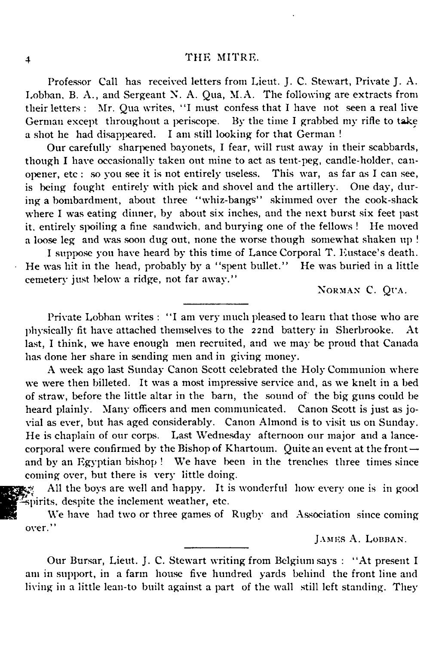Professor Call has received letters from Lieut. J. C. Stewart, Private J. A. Lobban, B. A., and Sergeant X. A. Qua, M.A. The following are extracts from their letters : Mr. Qua writes, "I must confess that I have not seen a real live German except throughout a periscope. By the time I grabbed my rifle to take a shot he had disappeared. I am still looking for that German !

Our carefully sharpened bayonets, I fear, will rust away in their scabbards, though I have occasionally taken out mine to act as tent-peg, candle-holder, canopener, etc : so you see it is not entirely useless. This war, as far as I can see, is being fought entirely with pick and shovel and the artillery. One day, during a bombardment, about three " whiz-bangs" skimmed over the cook-shack where I was eating dinner, by about six inches, and the next burst six feet past it. entirely spoiling a fine sandwich, and burying one of the fellows ! He moved a loose leg and was soon dug out, none the worse though somewhat shaken up !

I suppose you have heard by this time of Lance Corporal T. Eustace's death. He was hit in the head, probably by a "spent bullet." He was buried in a little cemetery just below a ridge, not far away."

NORMAN C. QUA.

Private Lobban writes : "I am very much pleased to learn that those who are physically fit have attached themselves to the 22nd battery in Sherbrooke. At last, I think, we have enough men recruited, and we may be proud that Canada has done her share in sending men and in giving money.

A week ago last Sunday Canon Scott celebrated the Holy Communion where we were then billeted. It was a most impressive service and, as we knelt in a bed of straw, before the little altar in the barn, the sound of the big guns could be heard plainly. Many officers and men communicated. Canon Scott is just as jovial as ever, but has aged considerably. Canon Almond is to visit us on Sunday. He is chaplain of our corps. Last Wednesday afternoon our major and a lancecorporal were confirmed by the Bishop of Khartoum. Quite an event at the frontand by an Egyptian bishop ! We have been in the trenches three times since coming over, but there is very little doing.

All the boys are well and happy. It is wonderful how every one is in good spirits, despite the inclement weather, etc.

We have had two or three games of Rugby and Association since coming over."

JAMES A. LOBBAN.

Our Bursar, Lieut. J. C. Stewart writing from Belgium says : " At present I am in support, in a farm house five hundred yards behind the front line and living in a little lean-to built against a part of the wall still left standing. They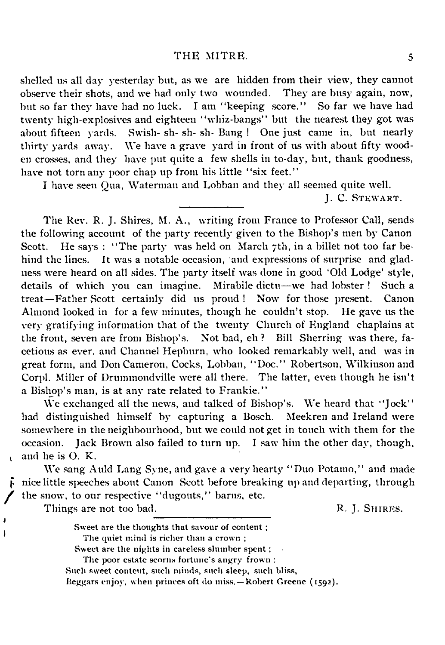shelled us all day yesterday but, as we are hidden from their view, they cannot observe their shots, and we had only two wounded. They are busy again, now, but so far they have had no luck. I am " keeping score." So far we have had twenty high-explosives and eighteen " whiz-bangs" but the nearest they got was about fifteen yards. Swish- sh- sh- sh- Bang ! One just came in, but nearly thirty yards away. We have a grave yard in front of us with about fifty wooden crosses, and they have put quite a few shells in to-day, but, thank goodness, have not torn any poor chap up from his little "six feet."

I have seen Qua, Waterman and Lobban and they all seemed quite well.

**J. C. STEWART.** 

The Rev. R. J. Shires, M. A., writing from France to Professor Call, sends the following account of the party recently given to the Bishop's men by Canon Scott. He says : "The party was held on March 7th, in a billet not too far behind the lines. It was a notable occasion, and expressions of surprise and gladness were heard on all sides. The party itself was done in good 'Old Lodge' style, details of which you can imagine. Mirabile dictu— we had lobster ! Such a treat— Father Scott certainly did us proud ! Now for those present. Canon Almond looked in for a few minutes, though he couldn't stop. He gave us the very gratifying information that of the twenty Church of England chaplains at the front, seven are from Bishop's. Not bad, eh ? Bill Sherring was there, facetious as ever, and Channel Hepburn, who looked remarkably well, and was in great form, and Don Cameron, Cocks, Lobban, " Doc." Robertson, Wilkinson and Corpl. Miller of Drummondville were all there. The latter, even though he isn't a Bishop's man, is at any rate related to Frankie."

We exchanged all the news, and talked of Bishop's. We heard that "Jock" had distinguished himself by capturing a Bosch. Meekren and Ireland were somewhere in the neighbourhood, but we could not get in touch with them for the occasion. Jack Brown also failed to turn up. I saw him the other day, though, and he is O. K.

We sang Auld Lang Syne, and gave a very hearty " Duo Potamo," and made nice little speeches about Canon Scott before breaking up and departing, through the snow, to our respective "dugouts," barns, etc.

Things are not too bad. R. J. SHIRES.

 $\mathbf{t}$ 

Sweet are the thoughts that savour of content ; The quiet mind is richer than a crown ; Sweet are the nights in careless slumber spent ;

The poor estate scorns fortune's angry frown :

Such sweet content, such minds, such sleep, such bliss, Beggars enjoy, when princes oft do miss. — Robert Greene (1592).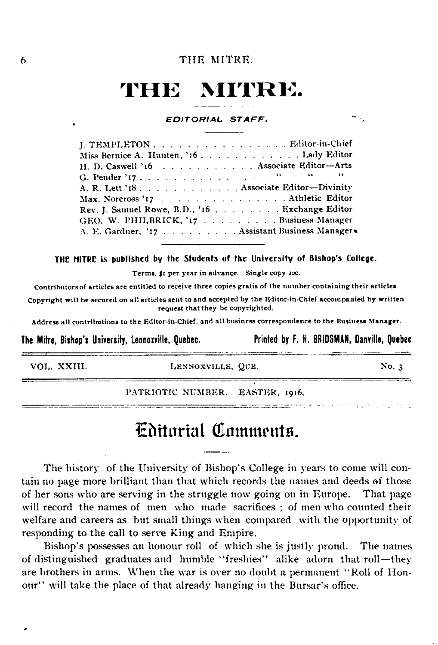# **THE MITRE.**

#### **EDITORIAL STAFF.**

J. TEMPLETON . . . . . . . . . . . . . . . . . Editor-in-Chief Miss Bernice A. Hunten, '16 . . . . . . . . . . . . . . Lady Edito H. D. Caswell '16 . . . . . . . . . . . . Associate Editor—Arts G. Pender '17..................  $6.6$ A. R. Lett '18 . . . . . . . . . . . . . Associate Editor—Divinity Max. Norcross ' 1 7 .................... ....................Athletic Editor Rev. J. Samuel Rowe, B.D., '16 . . . . . . . . . . Exchange Editc GEO. W. PHILBRICK, '17 . . . . . . . . . Business Manage A. E. Gardner, '17 . . . . . . . . . . Assistant Business Manager\*

#### THE MITRE is published by the Students of the University of Bishop's College.

**Terms \$1 per year in advance. Single copy 20c.**

**Contributors of articles are entitled to receive three copies gratis of the number containing their articles.**

**Copyright will be secured on all articles sent to and accepted by the Editor-in-Chief accompanied by written request that they be copyrighted.**

**Address all contributions to the Editor-in-Chief, and all business correspondence to the Business Manager.**

**The Mitre, Bishop's University, Lennoxville, Quebec. Printed by F. H. BRIDSM AN, Danville, Quebec**

<u> 1989 - Paris Alexander, político establecido de l</u>

\_\_\_\_\_\_\_\_\_\_\_\_\_\_\_\_\_

VO L. X X III. **L e n n o x v i l l e , Q u e .** No. 3

سامط والواردة المحاويتين

PATRIOTIC NUMBER. EASTER, 1916.

### Editorial Comments.

The history of the University of Bishop's College in years to come will contain no page more brilliant than that which records the names and deeds of those of her sons who are serving in the struggle now going on in Europe. That page will record the names of men who made sacrifices ; of men who counted their welfare and careers as but small things when compared with the opportunity of responding to the call to serve King and Empire.

Bishop's possesses an honour roll of which she is justly proud. The names of distinguished graduates and humble " freshies" alike adorn that roll— they are brothers in arms. When the war is over no doubt a permanent "Roll of Honour" will take the place of that already hanging in the Bursar's office.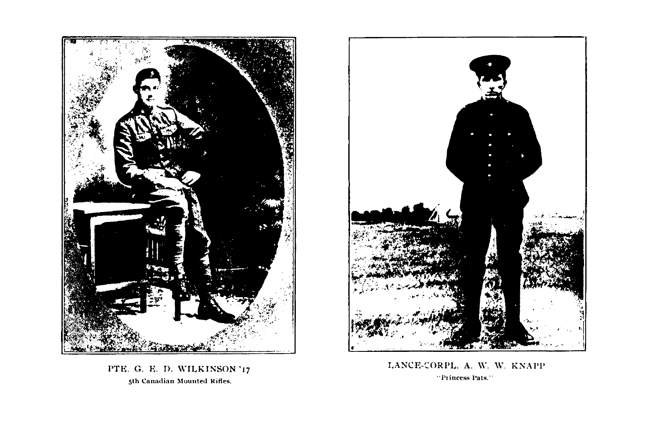

PTE. G. E. D. WILKINSON '17 **5th Canadian Mounted Rifles.**



LANCE-CORPL. A. W. W. KNAPP **" Princess Pats."**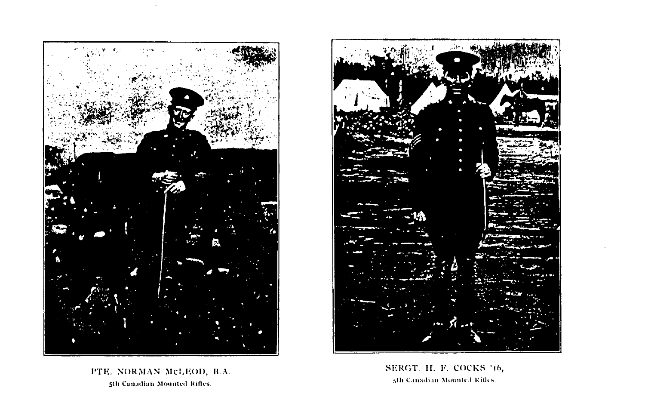

 $\Delta$ 



PTE. NORMAN McLEOD, B.A. **5th Canadian Mounted Rifles**

SERGT. H. F. COCKS '16, **5th Canadian Mounted Rifles**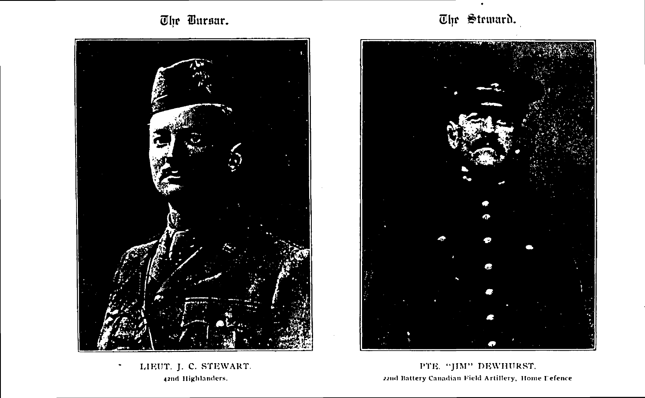The Bursar.



LIEUT. J. C. STEWART. **42nd Highlanders.**

 $\ddot{\phantom{0}}$ 

The Steward.



PTE. "JIM" DEWHURST. **22nd Battery Canadian Field Artillery, Home refence**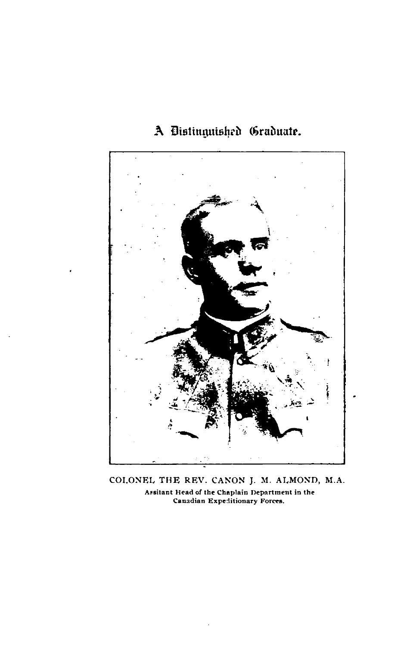### **A Distinguished Graduate.**



COLONEL THE REV. CANON J. M. ALMOND, M.A. **Assistant Head of the Chaplain Department in the Canadian Expeditionary Forces.**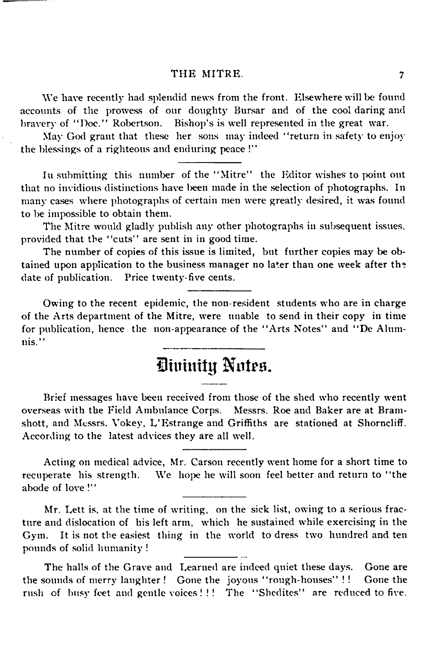We have recently had splendid news from the front. Elsewhere will be found accounts of the prowess of our doughty Bursar and of the cool daring and bravery of "Doc." Robertson. Bishop's is well represented in the great war.

May God grant that these her sons may indeed "return in safety to enjoy the blessings of a righteous and enduring peace !"

In submitting this number of the " Mitre" the Editor wishes to point out that no invidious distinctions have been made in the selection of photographs. In many cases where photographs of certain men were greatly desired, it was found to be impossible to obtain them.

The Mitre would gladly publish any other photographs in subsequent issues, provided that the "cuts" are sent in in good time.

The number of copies of this issue is limited, but further copies may be obtained upon application to the business manager no later than one week after the date of publication. Price twenty-five cents.

Owing to the recent epidemic, the non-resident students who are in charge of the Arts department of the Mitre, were unable to send in their copy in time for publication, hence the non-appearance of the " Arts Notes" and " De Alum nis."

## Divinity Notes.

Brief messages have been received from those of the shed who recently went overseas with the Field Ambulance Corps. Messrs. Roe and Baker are at Bram shott, and Messrs. Vokey, L'Estrange and Griffiths are stationed at Shorncliff. According to the latest advices they are all well.

Acting on medical advice, Mr. Carson recently went home for a short time to recuperate his strength. We hope he will soon feel better and return to "the abode of love !"

Mr. Lett is, at the time of writing, on the sick list, owing to a serious fracture and dislocation of his left arm, which he sustained while exercising in the Gym. It is not the easiest thing in the world to dress two hundred and ten pounds of solid humanity !

The halls of the Grave and Learned are indeed quiet these days. Gone are the sounds of merry laughter! Gone the joyous "rough-houses" !! Gone the rush of busy feet and gentle voices !!! The "Shedites" are reduced to five.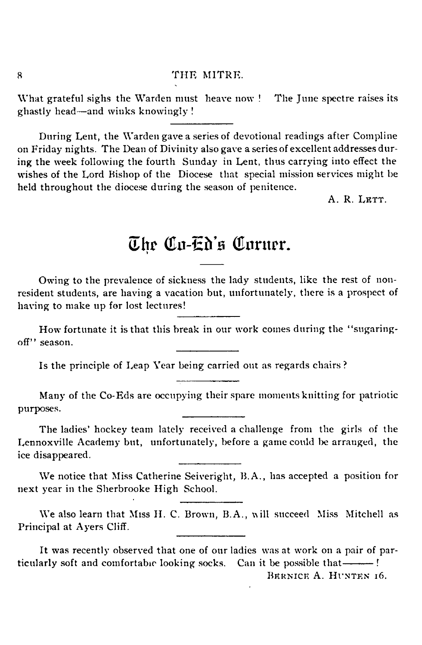What grateful sighs the Warden must heave now ! The June spectre raises its ghastly head—and winks knowingly !

During Lent, the Warden gave a series of devotional readings after Compline on Friday nights. The Dean of Divinity also gave a series of excellent addresses during the week following the fourth Sunday in Lent, thus carrying into effect the wishes of the Lord Bishop of the Diocese that special mission services might be held throughout the diocese during the season of penitence.

 $A$   $R$   $L$  $R$  $T$  $T$ 

### The Co-Ed's Corner

Owing to the prevalence of sickness the lady students, like the rest of non resident students, are having a vacation but, unfortunately, there is a prospect of having to make up for lost lectures!

How fortunate it is that this break in our work comes during the "sugaringoff" season.

Is the principle of Leap Year being carried out as regards chairs?

Many of the Co-Eds are occupying their spare moments knitting for patriotic purposes.

The ladies' hockey team lately received a challenge from the girls of the Lennoxville Academy but, unfortunately, before a game could be arranged, the ice disappeared.

We notice that Miss Catherine Seiveright, B.A., has accepted a position for next year in the Sherbrooke High School.

We also learn that Miss H. C. Brown, B.A., will succeed Miss Mitchell as Principal at Ayers Cliff.

It was recently observed that one of our ladies was at work on a pair of particularly soft and comfortable looking socks. Can it be possible that--------!

BERNICE A. HUNTEN 16.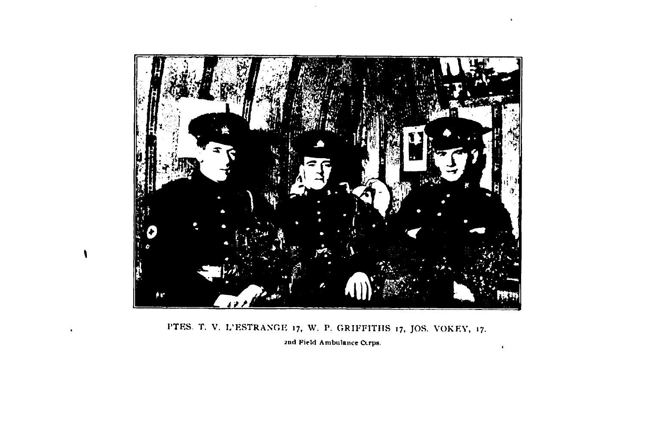

 $\sim$ 

 $\ddot{\phantom{1}}$ 

 $\blacksquare$ 

PTES. T. V. L'ESTRANGE 17, W. P. GRIFFITHS 17, JOS. VOKEY, 17. **2nd Field Ambulance Corps.**

 $\bullet$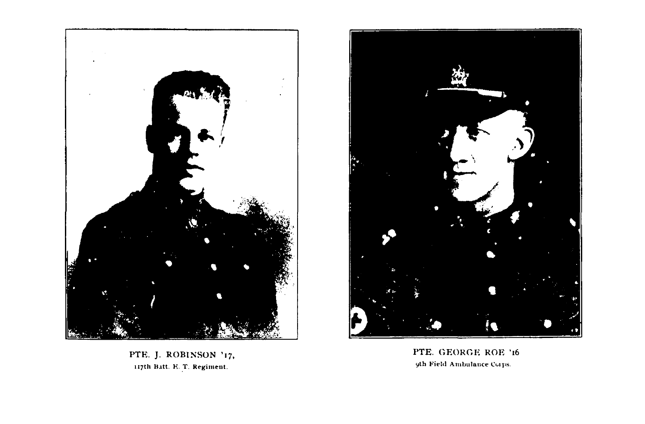

PTE. J. ROBINSON '17, **117th Batt. K. T. Regiment.**



PTE. GEORGE ROE '16 **9th Field Ambulance Corps**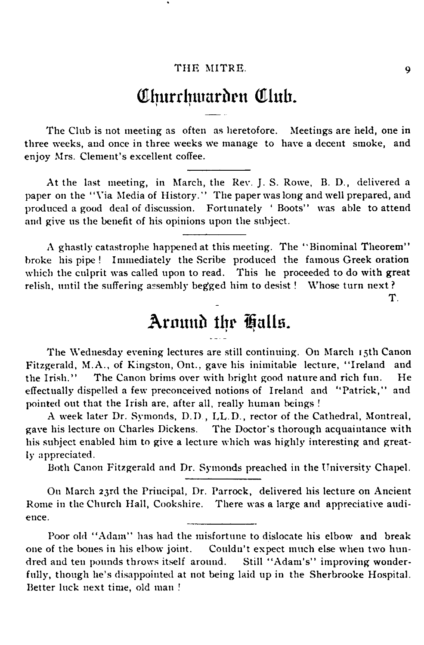### Churchwarden Club.

The Club is not meeting as often as heretofore. Meetings are held, one in three weeks, and once in three weeks We manage to have a decent smoke, and enjoy Mrs. Clement's excellent coffee.

At the last meeting, in March, the Rev. J. S. Rowe, B. D., delivered a paper on the "Via Media of History." The paper was long and well prepared, and produced a good deal of discussion. Fortunately ' Boots" was able to attend and give us the benefit of his opinions upon the subject.

A ghastly catastrophe happened at this meeting. The " Binominal Theorem" broke his pipe ! Immediately the Scribe produced the famous Greek oration which the culprit was called upon to read. This he proceeded to do with great relish, until the suffering assembly begged him to desist ! Whose turn next ? T.

### Around the Galls.

The Wednesday evening lectures are still continuing. On March 15th Canon Fitzgerald, M.A., of Kingston, Ont., gave his inimitable lecture, " Ireland and the Irish." The Canon brims over with bright good nature and rich fun. He effectually dispelled a few preconceived notions of Ireland and " Patrick," and pointed out that the Irish are, after all, really human beings !

A week later Dr. Symonds, D.D , LL.D., rector of the Cathedral, Montreal, gave his lecture on Charles Dickens. The Doctor's thorough acquaintance with his subject enabled him to give a lecture which was highly interesting and greatly appreciated.

Both Canon Fitzgerald and Dr. Symonds preached in the University Chapel.

On March 23rd the Principal, Dr. Parrock, delivered his lecture on Ancient Rome in the Church Hall, Cookshire. There was a large and appreciative audience.

Poor old " Adam" has had the misfortune to dislocate his elbow and break one of the bones in his elbow joint. Couldn't expect much else when two hundred and ten pounds throws itself around. Still " Adam's" improving wonderfully, though he's disappointed at not being laid up in the Sherbrooke Hospital. Better luck next time, old man *!*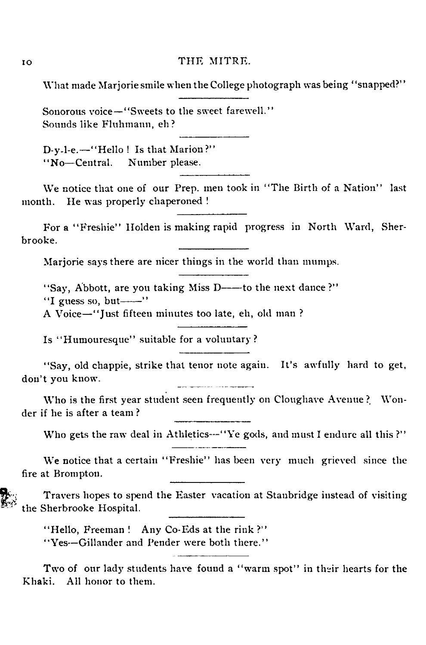What made Marjorie smile when the College photograph was being "snapped?"

Sonorous voice—"Sweets to the sweet farewell." Sounds like Fluhmann, eh?

D-y-l-e.— " Hello ! Is that Marion?" " No— Central. Number please.

We notice that one of our Prep, men took in "The Birth of a Nation" last month. He was properly chaperoned !

For a "Freshie" Holden is making rapid progress in North Ward, Sherbrooke.

Marjorie says there are nicer things in the world than mumps.

"Say, Abbott, are you taking Miss D---- to the next dance?"

"I guess so, but- $\cdots$ "

A Voice— " Just fifteen minutes too late, eh, old man ?

Is "Humouresque" suitable for a voluntary?

"Say, old chappie, strike that tenor note again. It's awfully hard to get, don't you know.

Who is the first year student seen frequently on Cloughave Avenue ? Wonder if he is after a team ?

Who gets the raw deal in Athletics---"Ye gods, and must I endure all this?"

We notice that a certain "Freshie" has been very much grieved since the fire at Brompton.

Travers hopes to spend the Easter vacation at Stanbridge instead of visiting the Sherbrooke Hospital.

"Hello, Freeman! Any Co-Eds at the rink?" " Yes--Gillander and Pender were both there."

Two of our lady students have found a " warm spot" in their hearts for the Khaki. All honor to them.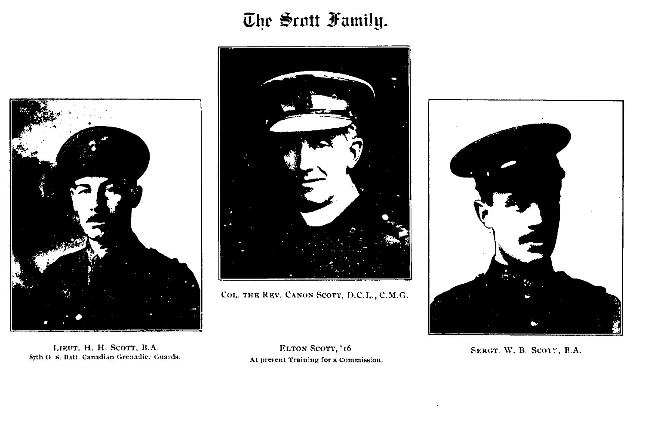# The Scott Family.





COL. THE REV. CANON SCOTT, D.C.L., C.M.G.



LIEUT. H. H. SCOTT, B.A. 87th O. S. Batt. Canadian Grenadie: Guards. At present Training for a Commission.

ELTON SCOTT, '16

SERGT. W. B. SCOTT, B.A.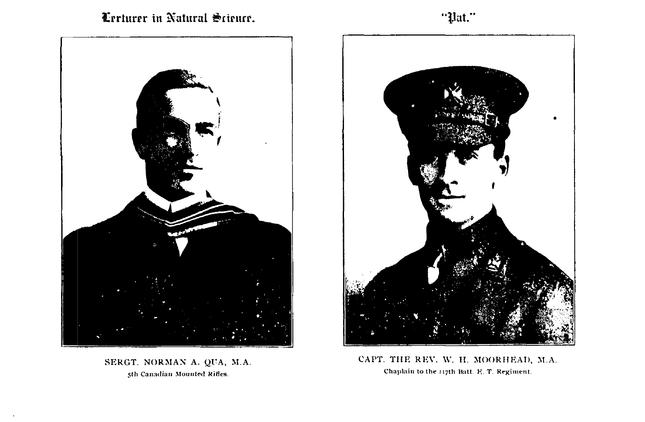Lecturer in Natural Science

"Pat."



SERGT. NORMAN A. QUA, M.A. **5th Canadian Mounted Rifles.**



CAPT. THE REV. W. H. MOORHEAD, M.A. **Chaplain to the 117th Batt. E T. Regiment.**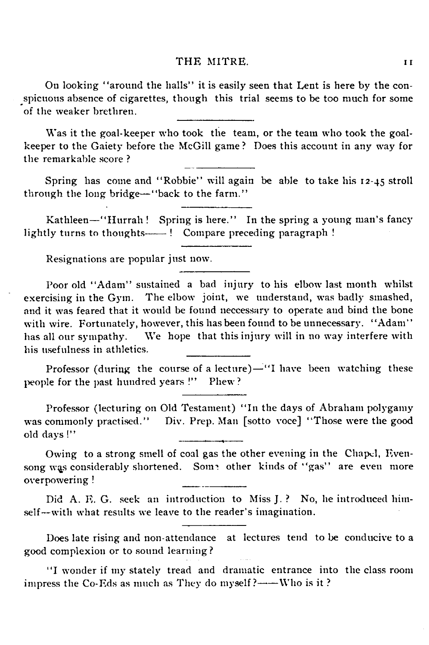On looking " around the halls" it is easily seen that Lent is here by the conspicuous absence of cigarettes, though this trial seems to be too much for some of the weaker brethren.

Was it the goal-keeper who took the team, or the team who took the goal keeper to the Gaiety before the McGill game ? Does this account in any way for the remarkable score ?

Spring has come and "Robbie" will again be able to take his 12-45 stroll through the long bridge— " back to the farm."

Kathleen— " Hurrah ! Spring is here." In the spring a young man's fancy lightly turns to thoughts-----! Compare preceding paragraph !

Resignations are popular just now.

Poor old "Adam" sustained a bad injury to his elbow last month whilst exercising in the Gym. The elbow joint, we understand, was badly smashed, and it was feared that it would be found neccessary to operate and bind the bone with wire. Fortunately, however, this has been found to be unnecessary. "Adam" has all our sympathy. We hope that this injury will in no way interfere with his usefulness in athletics.

Professor (during the course of a lecture)— $''$ I have been watching these people for the past hundred years !" Phew?

Professor (lecturing on Old Testament) " In the days of Abraham polygamy was commonly practised." Div. Prep. Man [sotto voce] "Those were the good old days !"

Owing to a strong smell of coal gas the other evening in the Chapel, Evensong was considerably shortened. Some other kinds of "gas" are even more overpowering !

Did A. F. G. seek an introduction to Miss J. ? No, he introduced himself--with what results we leave to the reader's imagination.

Does late rising and non-attendance at lectures tend to be conducive to a good complexion or to sound learning?

"I wonder if my stately tread and dramatic entrance into the class room impress the Co-Eds as much as They do myself?-----Who is it?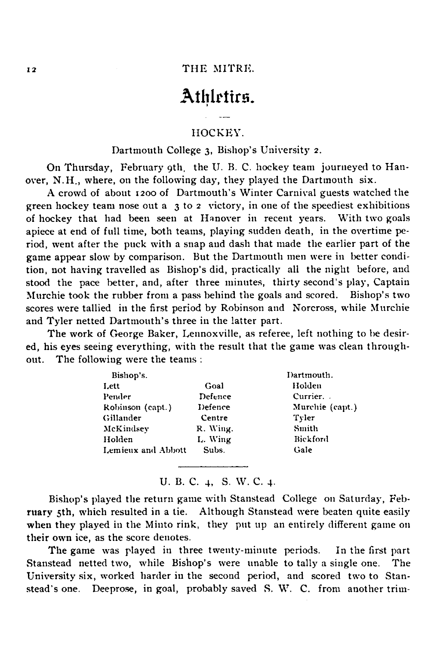### Athletics.

#### HOCKEY.

#### Dartmouth College 3, Bishop's University 2.

On Thursday, February 9th, the U. B. C. hockey team journeyed to Han over, N.H., where, on the following day, they played the Dartmouth six.

A crowd of about 1200 of Dartmouth's Winter Carnival guests watched the green hockey team nose out a 3 to 2 victory, in one of the speediest exhibitions of hockey that had been seen at Hanover in recent years. With two goals apiece at end of full time, both teams, playing sudden death, in the overtime period, went after the puck with a snap and dash that made the earlier part of the game appear slow by comparison. But the Dartmouth men were in better condition, not having travelled as Bishop's did, practically all the night before, and stood the pace better, and, after three minutes, thirty second's play, Captain Murchie took the rubber from a pass behind the goals and scored. Bishop's two scores were tallied in the first period by Robinson and Norcross, while Murchie and Tyler netted Dartmouth's three in the latter part.

The work of George Baker, Lennoxville, as referee, left nothing to be desired, his eyes seeing everything, with the result that the game was clean through out. The following were the teams :

| Bishop's.          |          | Dartmouth.      |
|--------------------|----------|-----------------|
| Lett               | Goal     | Holden          |
| Pender             | Defence  | Currier.        |
| Robinson (capt.)   | Defence  | Murchie (capt.) |
| Gillander          | Centre   | Tyler           |
| McKindsev          | R. Wing. | Smith           |
| Holden             | L. Wing  | Bickford        |
| Lemieux and Abbott | Subs.    | Gale            |
|                    |          |                 |

**U. B. C. 4, S. W. C. 4-**

Bishop's played the return game with Stanstead College on Saturday, February 5th, which resulted in a tie. Although Stanstead were beaten quite easily when they played in the Minto rink, they put up an entirely different game on their own ice, as the score denotes.

The game was played in three twenty-minute periods. In the first part Stanstead netted two, while Bishop's were unable to tally a single one. The University six, worked harder in the second period, and scored two to Stan stead's one. Deeprose, in goal, probably saved S. W. C. from another trim-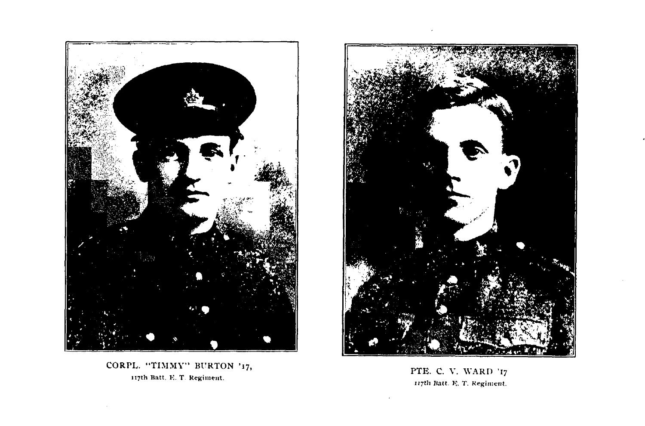

CORPL. "TIMMY" BURTON '17, **117th Watt. K. T. Regiment.**



PTE. C. V. WARD '17 117**th Halt. E. T. Regiment.**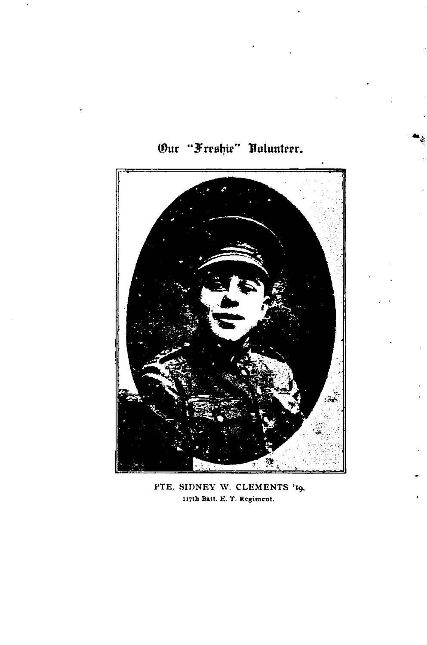

Our "Freshie" Volunteer.

PTE. SIDNEY W. CLEMENTS '19, **117th Batt. E. T. Regiment.**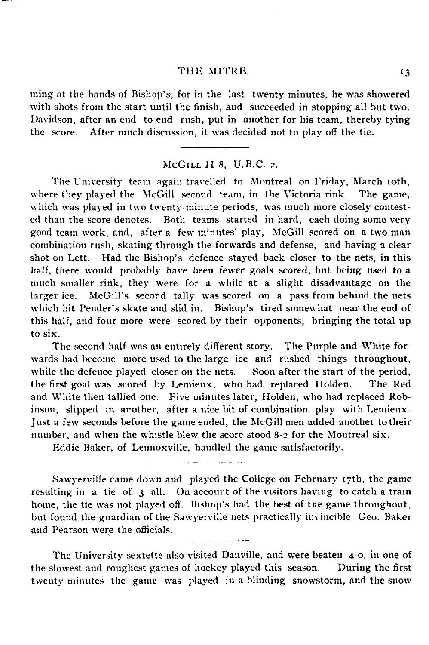ming at the hands of Bishop's, for in the last twenty minutes, he was showered with shots from the start until the finish, and succeeded in stopping all but two. Davidson, after an end to end rush, put in another for his team, thereby tying the score. After much discussion, it was decided not to play off the tie.

#### McGILL II 8, U.B.C. 2.

The University team again travelled to Montreal on Friday, March 10th, where they played the McGill second team, in the Victoria rink. The game, which was played in two twenty-minute periods, was much more closely contested than the score denotes. Both teams started in hard, each doing some very good team work, and, after a few minutes' play, McGill scored on a two-man combination rush, skating through the forwards and defense, and having a clear shot on Lett. Had the Bishop's defence stayed back closer to the nets, in this half, there would probably have been fewer goals scored, but being used to a much smaller rink, they were for a while at a slight disadvantage on the larger ice. McGill's second tally was scored on a pass from behind the nets which hit Pender's skate and slid in. Bishop's tired somewhat near the end of this half, and four more were scored by their opponents, bringing the total up to six.

The second half was an entirely different story. The Purple and White forwards had become more used to the large ice and rushed things throughout, while the defence played closer on the nets. Soon after the start of the period, the first goal was scored by Lemieux, who had replaced Holden. The Red and White then tallied one. Five minutes later, Holden, who had replaced Robinson, slipped in arother, after a nice bit of combination play with Lemieux. Just a few seconds before the game ended, the McGill men added another to their number, and when the whistle blew the score stood 8-2 for the Montreal six.

Eddie Baker, of Lennoxville, handled the game satisfactorily.

Sawyerville came down and played the College on February 17th, the game resulting in a tie of 3 all. On account of the visitors having to catch a train home, the tie was not played off. Bishop's had the best of the game throughout, but found the guardian of the Sawyerville nets practically invincible. Geo. Baker and Pearson were the officials.

The University sextette also visited Danville, and were beaten 4-0, in one of the slowest and roughest games of hockey played this season. During the first twenty minutes the game was played in a blinding snowstorm, and the snow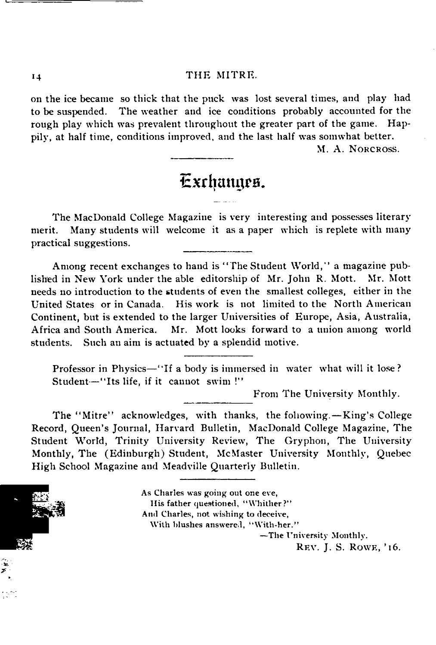on the ice became so thick that the puck was lost several times, and play had to be suspended. The weather and ice conditions probably accounted for the rough play which was prevalent throughout the greater part of the game. Happily, at half time, conditions improved, and the last half was somwhat better.

M. A. NORCROSS.

### Exchanges.

The MacDonald College Magazine is very interesting and possesses literary merit. Many students will welcome it as a paper which is replete with many practical suggestions.

Among recent exchanges to hand is " The Student World," a magazine published in New York under the able editorship of Mr. John R. Mott. Mr. Mott needs no introduction to the students of even the smallest colleges, either in the United States or in Canada. His work is not limited to the North American Continent, but is extended to the larger Universities of Europe, Asia, Australia, Africa and South America. Mr. Mott looks forward to a union among world students. Such an aim is actuated by a splendid motive.

Professor in Physics—"If a body is immersed in water what will it lose? Student-"Its life, if it cannot swim !"

From The University Monthly.

The " Mitre" acknowledges, with thanks, the following.— King's College Record, Queen's Journal, Harvard Bulletin, MacDonald College Magazine, The Student World, Trinity University Review, The Gryphon, The University Monthly, The (Edinburgh) Student, McMaster University Monthly, Quebec High School Magazine and Meadville Quarterly Bulletin.



As Charles was going out one eve, His father questioned, "Whither?" And Charles, not wishing to deceive, With blushes answered, "With-her." — The University Monthly.

REV. J. S. ROWE, '16.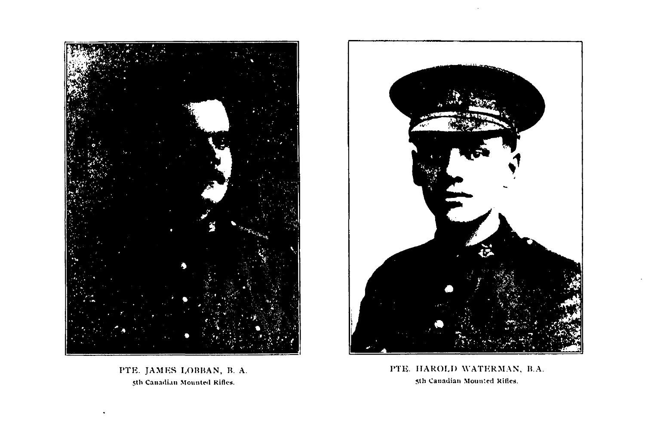

PTE. JAMES LOBBAN, B. A. **5th Canadian Mounted Rifles.**



PTE. HAROLD WATERMAN, B.A. **5th Canadian Mounted Rifles.**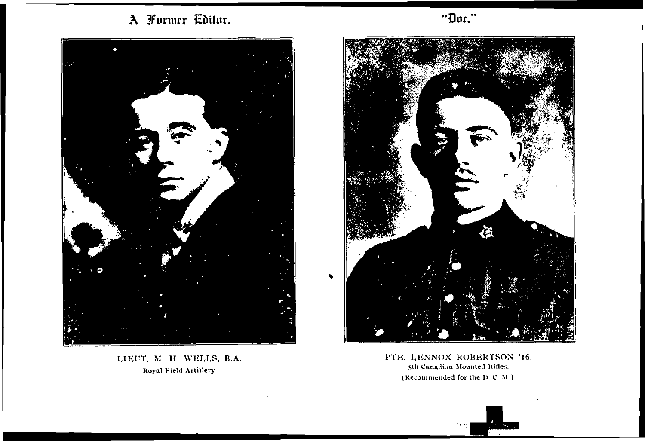A Former Editor.



LIEUT. M. H. WELLS, B.A. **Royal Field Artillery.**



PTE. LENNOX ROBERTSON '16. **5th Canadian Mounted Rifles. ( Recommended for the D C. M.)**



Dor."